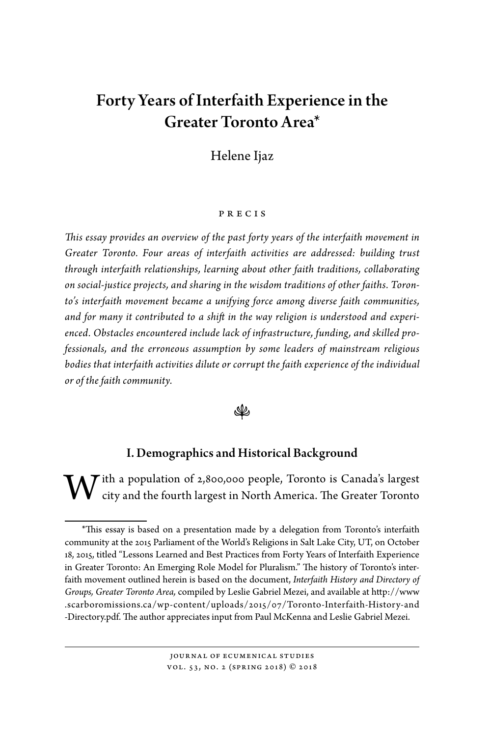# Forty Years of Interfaith Experience in the Greater Toronto Area\*

Helene Ijaz

#### precis

This essay provides an overview of the past forty years of the interfaith movement in *Greater Toronto. Four areas of interfaith activities are addressed: building trust through interfaith relationships, learning about other faith traditions, collaborating on social- justice projects, and sharing in the wisdom traditions of other faiths. Toronto's interfaith movement became a unifying force among diverse faith communities, and for many it contributed to a shift in the way religion is understood and experi*enced. Obstacles encountered include lack of infrastructure, funding, and skilled pro*fessionals, and the erroneous assumption by some leaders of mainstream religious bodies that interfaith activities dilute or corrupt the faith experience of the individual or of the faith community.*

# **•**

## I. Demographics and Historical Background

 $\boldsymbol{W}$ ith a population of 2,800,000 people, Toronto is Canada's largest city and the fourth largest in North America. The Greater Toronto

<sup>\*</sup>Th is essay is based on a presentation made by a delegation from Toronto's interfaith community at the 2015 Parliament of the World's Religions in Salt Lake City, UT, on October 18, 2015, titled "Lessons Learned and Best Practices from Forty Years of Interfaith Experience in Greater Toronto: An Emerging Role Model for Pluralism." The history of Toronto's interfaith movement outlined herein is based on the document, *Interfaith History and Directory of*  Groups, Greater Toronto Area, compiled by Leslie Gabriel Mezei, and available at http://www .scarboromissions.ca/wp-content/uploads/2015/07/Toronto-Interfaith-History-and -Directory.pdf. The author appreciates input from Paul McKenna and Leslie Gabriel Mezei.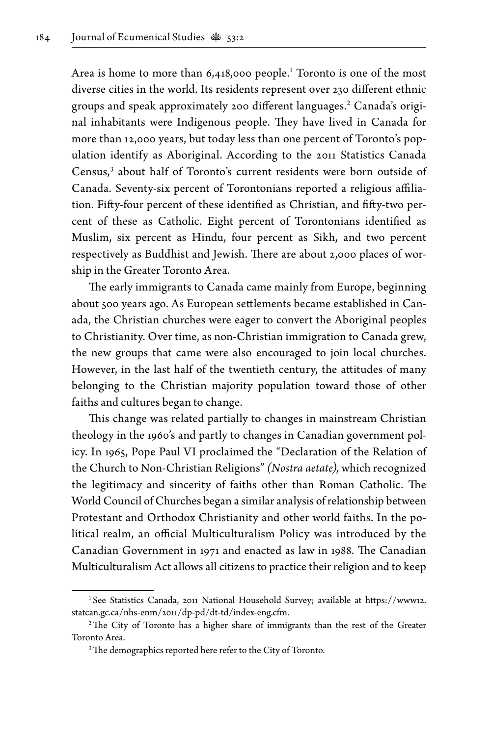Area is home to more than 6,418,000 people.<sup>1</sup> Toronto is one of the most diverse cities in the world. Its residents represent over 230 different ethnic groups and speak approximately 200 different languages. $^2$  Canada's original inhabitants were Indigenous people. They have lived in Canada for more than 12,000 years, but today less than one percent of Toronto's population identify as Aboriginal. According to the 2011 Statistics Canada Census,<sup>3</sup> about half of Toronto's current residents were born outside of Canada. Seventy-six percent of Torontonians reported a religious affiliation. Fifty-four percent of these identified as Christian, and fifty-two percent of these as Catholic. Eight percent of Torontonians identified as Muslim, six percent as Hindu, four percent as Sikh, and two percent respectively as Buddhist and Jewish. There are about 2,000 places of worship in the Greater Toronto Area.

The early immigrants to Canada came mainly from Europe, beginning about 500 years ago. As European settlements became established in Canada, the Christian churches were eager to convert the Aboriginal peoples to Christianity. Over time, as non- Christian immigration to Canada grew, the new groups that came were also encouraged to join local churches. However, in the last half of the twentieth century, the attitudes of many belonging to the Christian majority population toward those of other faiths and cultures began to change.

This change was related partially to changes in mainstream Christian theology in the 1960's and partly to changes in Canadian government policy. In 1965, Pope Paul VI proclaimed the "Declaration of the Relation of the Church to Non- Christian Religions" *(Nostra aetate),* which recognized the legitimacy and sincerity of faiths other than Roman Catholic. The World Council of Churches began a similar analysis of relationship between Protestant and Orthodox Christianity and other world faiths. In the political realm, an official Multiculturalism Policy was introduced by the Canadian Government in 1971 and enacted as law in 1988. The Canadian Multiculturalism Act allows all citizens to practice their religion and to keep

<sup>&</sup>lt;sup>1</sup> See Statistics Canada, 2011 National Household Survey; available at https://www12. statcan.gc.ca/nhs-enm/2011/dp-pd/dt-td/index-eng.cfm.

<sup>&</sup>lt;sup>2</sup>The City of Toronto has a higher share of immigrants than the rest of the Greater Toronto Area.

<sup>&</sup>lt;sup>3</sup> The demographics reported here refer to the City of Toronto.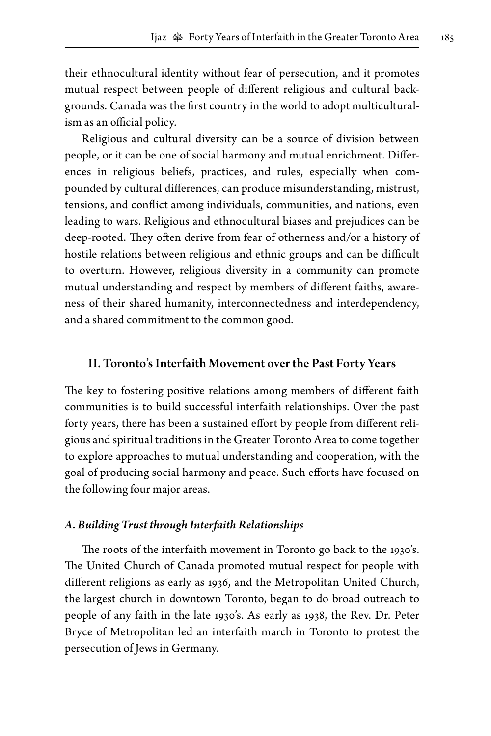their ethnocultural identity without fear of persecution, and it promotes mutual respect between people of different religious and cultural backgrounds. Canada was the first country in the world to adopt multiculturalism as an official policy.

Religious and cultural diversity can be a source of division between people, or it can be one of social harmony and mutual enrichment. Differences in religious beliefs, practices, and rules, especially when compounded by cultural differences, can produce misunderstanding, mistrust, tensions, and conflict among individuals, communities, and nations, even leading to wars. Religious and ethnocultural biases and prejudices can be deep-rooted. They often derive from fear of otherness and/or a history of hostile relations between religious and ethnic groups and can be difficult to overturn. However, religious diversity in a community can promote mutual understanding and respect by members of different faiths, awareness of their shared humanity, interconnectedness and interdependency, and a shared commitment to the common good.

## II. Toronto's Interfaith Movement over the Past Forty Years

The key to fostering positive relations among members of different faith communities is to build successful interfaith relationships. Over the past forty years, there has been a sustained effort by people from different religious and spiritual traditions in the Greater Toronto Area to come together to explore approaches to mutual understanding and cooperation, with the goal of producing social harmony and peace. Such efforts have focused on the following four major areas.

#### *A. Building Trust through Interfaith Relationships*

The roots of the interfaith movement in Toronto go back to the 1930's. The United Church of Canada promoted mutual respect for people with different religions as early as 1936, and the Metropolitan United Church, the largest church in downtown Toronto, began to do broad outreach to people of any faith in the late 1930's. As early as 1938, the Rev. Dr. Peter Bryce of Metropolitan led an interfaith march in Toronto to protest the persecution of Jews in Germany.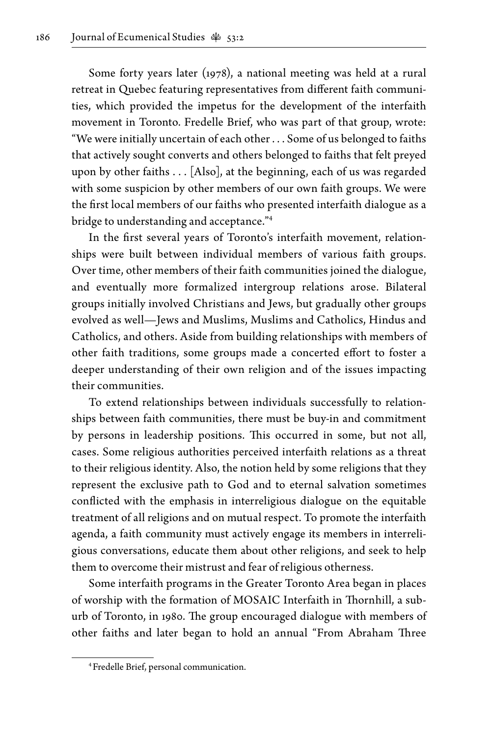Some forty years later (1978), a national meeting was held at a rural retreat in Quebec featuring representatives from different faith communities, which provided the impetus for the development of the interfaith movement in Toronto. Fredelle Brief, who was part of that group, wrote: "We were initially uncertain of each other . . . Some of us belonged to faiths that actively sought converts and others belonged to faiths that felt preyed upon by other faiths . . . [Also], at the beginning, each of us was regarded with some suspicion by other members of our own faith groups. We were the first local members of our faiths who presented interfaith dialogue as a bridge to understanding and acceptance."4

In the first several years of Toronto's interfaith movement, relationships were built between individual members of various faith groups. Over time, other members of their faith communities joined the dialogue, and eventually more formalized intergroup relations arose. Bilateral groups initially involved Christians and Jews, but gradually other groups evolved as well—Jews and Muslims, Muslims and Catholics, Hindus and Catholics, and others. Aside from building relationships with members of other faith traditions, some groups made a concerted effort to foster a deeper understanding of their own religion and of the issues impacting their communities.

To extend relationships between individuals successfully to relationships between faith communities, there must be buy-in and commitment by persons in leadership positions. This occurred in some, but not all, cases. Some religious authorities perceived interfaith relations as a threat to their religious identity. Also, the notion held by some religions that they represent the exclusive path to God and to eternal salvation sometimes conflicted with the emphasis in interreligious dialogue on the equitable treatment of all religions and on mutual respect. To promote the interfaith agenda, a faith community must actively engage its members in interreligious conversations, educate them about other religions, and seek to help them to overcome their mistrust and fear of religious otherness.

Some interfaith programs in the Greater Toronto Area began in places of worship with the formation of MOSAIC Interfaith in Thornhill, a suburb of Toronto, in 1980. The group encouraged dialogue with members of other faiths and later began to hold an annual "From Abraham Three

<sup>4</sup> Fredelle Brief, personal communication.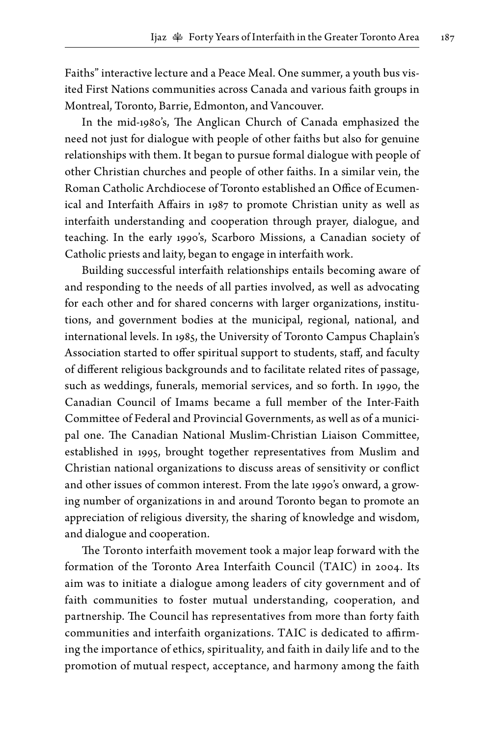Faiths" interactive lecture and a Peace Meal. One summer, a youth bus visited First Nations communities across Canada and various faith groups in Montreal, Toronto, Barrie, Edmonton, and Vancouver.

In the mid-1980's, The Anglican Church of Canada emphasized the need not just for dialogue with people of other faiths but also for genuine relationships with them. It began to pursue formal dialogue with people of other Christian churches and people of other faiths. In a similar vein, the Roman Catholic Archdiocese of Toronto established an Office of Ecumenical and Interfaith Affairs in 1987 to promote Christian unity as well as interfaith understanding and cooperation through prayer, dialogue, and teaching. In the early 1990's, Scarboro Missions, a Canadian society of Catholic priests and laity, began to engage in interfaith work.

Building successful interfaith relationships entails becoming aware of and responding to the needs of all parties involved, as well as advocating for each other and for shared concerns with larger organizations, institutions, and government bodies at the municipal, regional, national, and international levels. In 1985, the University of Toronto Campus Chaplain's Association started to offer spiritual support to students, staff, and faculty of different religious backgrounds and to facilitate related rites of passage, such as weddings, funerals, memorial services, and so forth. In 1990, the Canadian Council of Imams became a full member of the Inter- Faith Committ ee of Federal and Provincial Governments, as well as of a municipal one. The Canadian National Muslim-Christian Liaison Committee, established in 1995, brought together representatives from Muslim and Christian national organizations to discuss areas of sensitivity or conflict and other issues of common interest. From the late 1990's onward, a growing number of organizations in and around Toronto began to promote an appreciation of religious diversity, the sharing of knowledge and wisdom, and dialogue and cooperation.

The Toronto interfaith movement took a major leap forward with the formation of the Toronto Area Interfaith Council (TAIC) in 2004. Its aim was to initiate a dialogue among leaders of city government and of faith communities to foster mutual understanding, cooperation, and partnership. The Council has representatives from more than forty faith communities and interfaith organizations. TAIC is dedicated to affirming the importance of ethics, spirituality, and faith in daily life and to the promotion of mutual respect, acceptance, and harmony among the faith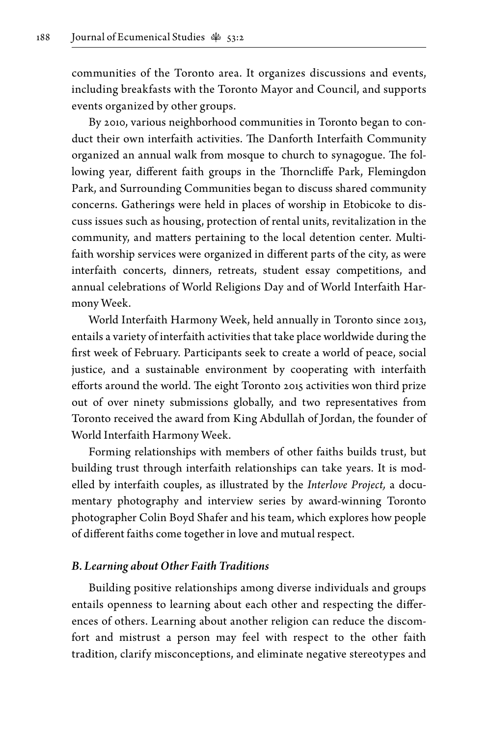communities of the Toronto area. It organizes discussions and events, including breakfasts with the Toronto Mayor and Council, and supports events organized by other groups.

By 2010, various neighborhood communities in Toronto began to conduct their own interfaith activities. The Danforth Interfaith Community organized an annual walk from mosque to church to synagogue. The following year, different faith groups in the Thorncliffe Park, Flemingdon Park, and Surrounding Communities began to discuss shared community concerns. Gatherings were held in places of worship in Etobicoke to discuss issues such as housing, protection of rental units, revitalization in the community, and matters pertaining to the local detention center. Multifaith worship services were organized in different parts of the city, as were interfaith concerts, dinners, retreats, student essay competitions, and annual celebrations of World Religions Day and of World Interfaith Harmony Week.

World Interfaith Harmony Week, held annually in Toronto since 2013, entails a variety of interfaith activities that take place worldwide during the first week of February. Participants seek to create a world of peace, social justice, and a sustainable environment by cooperating with interfaith efforts around the world. The eight Toronto 2015 activities won third prize out of over ninety submissions globally, and two representatives from Toronto received the award from King Abdullah of Jordan, the founder of World Interfaith Harmony Week.

Forming relationships with members of other faiths builds trust, but building trust through interfaith relationships can take years. It is modelled by interfaith couples, as illustrated by the *Interlove Project,* a documentary photography and interview series by award-winning Toronto photographer Colin Boyd Shafer and his team, which explores how people of different faiths come together in love and mutual respect.

#### *B. Learning about Other Faith Traditions*

Building positive relationships among diverse individuals and groups entails openness to learning about each other and respecting the differences of others. Learning about another religion can reduce the discomfort and mistrust a person may feel with respect to the other faith tradition, clarify misconceptions, and eliminate negative stereotypes and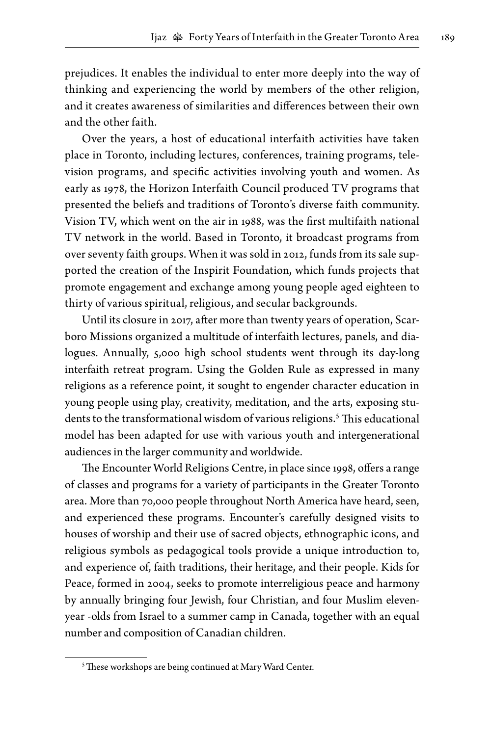prejudices. It enables the individual to enter more deeply into the way of thinking and experiencing the world by members of the other religion, and it creates awareness of similarities and differences between their own and the other faith.

Over the years, a host of educational interfaith activities have taken place in Toronto, including lectures, conferences, training programs, television programs, and specific activities involving youth and women. As early as 1978, the Horizon Interfaith Council produced TV programs that presented the beliefs and traditions of Toronto's diverse faith community. Vision TV, which went on the air in 1988, was the first multifaith national TV network in the world. Based in Toronto, it broadcast programs from over seventy faith groups. When it was sold in 2012, funds from its sale supported the creation of the Inspirit Foundation, which funds projects that promote engagement and exchange among young people aged eighteen to thirty of various spiritual, religious, and secular backgrounds.

Until its closure in 2017, after more than twenty years of operation, Scarboro Missions organized a multitude of interfaith lectures, panels, and dialogues. Annually, 5,000 high school students went through its day-long interfaith retreat program. Using the Golden Rule as expressed in many religions as a reference point, it sought to engender character education in young people using play, creativity, meditation, and the arts, exposing students to the transformational wisdom of various religions.<sup>5</sup> This educational model has been adapted for use with various youth and intergenerational audiences in the larger community and worldwide.

The Encounter World Religions Centre, in place since 1998, offers a range of classes and programs for a variety of participants in the Greater Toronto area. More than 70,000 people throughout North America have heard, seen, and experienced these programs. Encounter's carefully designed visits to houses of worship and their use of sacred objects, ethnographic icons, and religious symbols as pedagogical tools provide a unique introduction to, and experience of, faith traditions, their heritage, and their people. Kids for Peace, formed in 2004, seeks to promote interreligious peace and harmony by annually bringing four Jewish, four Christian, and four Muslim elevenyear - olds from Israel to a summer camp in Canada, together with an equal number and composition of Canadian children.

<sup>&</sup>lt;sup>5</sup> These workshops are being continued at Mary Ward Center.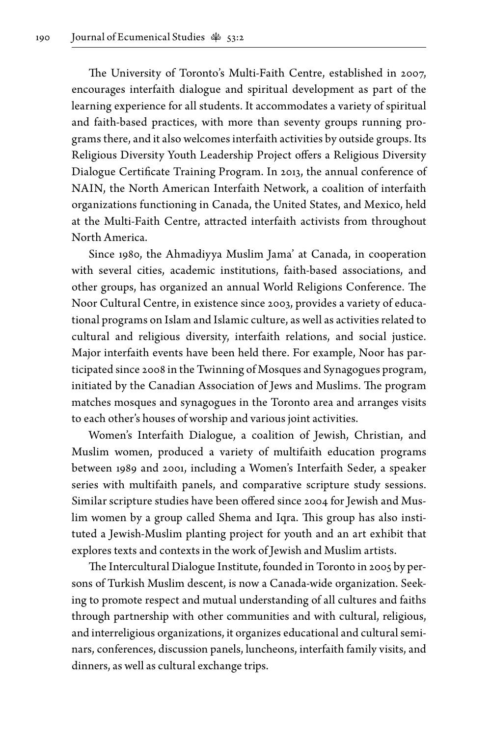The University of Toronto's Multi-Faith Centre, established in 2007, encourages interfaith dialogue and spiritual development as part of the learning experience for all students. It accommodates a variety of spiritual and faith-based practices, with more than seventy groups running programs there, and it also welcomes interfaith activities by outside groups. Its Religious Diversity Youth Leadership Project offers a Religious Diversity Dialogue Certificate Training Program. In 2013, the annual conference of NAIN, the North American Interfaith Network, a coalition of interfaith organizations functioning in Canada, the United States, and Mexico, held at the Multi-Faith Centre, attracted interfaith activists from throughout North America.

Since 1980, the Ahmadiyya Muslim Jama' at Canada, in cooperation with several cities, academic institutions, faith-based associations, and other groups, has organized an annual World Religions Conference. The Noor Cultural Centre, in existence since 2003, provides a variety of educational programs on Islam and Islamic culture, as well as activities related to cultural and religious diversity, interfaith relations, and social justice. Major interfaith events have been held there. For example, Noor has participated since 2008 in the Twinning of Mosques and Synagogues program, initiated by the Canadian Association of Jews and Muslims. The program matches mosques and synagogues in the Toronto area and arranges visits to each other's houses of worship and various joint activities.

Women's Interfaith Dialogue, a coalition of Jewish, Christian, and Muslim women, produced a variety of multifaith education programs between 1989 and 2001, including a Women's Interfaith Seder, a speaker series with multifaith panels, and comparative scripture study sessions. Similar scripture studies have been offered since 2004 for Jewish and Muslim women by a group called Shema and Iqra. This group has also instituted a Jewish- Muslim planting project for youth and an art exhibit that explores texts and contexts in the work of Jewish and Muslim artists.

The Intercultural Dialogue Institute, founded in Toronto in 2005 by persons of Turkish Muslim descent, is now a Canada- wide organization. Seeking to promote respect and mutual understanding of all cultures and faiths through partnership with other communities and with cultural, religious, and interreligious organizations, it organizes educational and cultural seminars, conferences, discussion panels, luncheons, interfaith family visits, and dinners, as well as cultural exchange trips.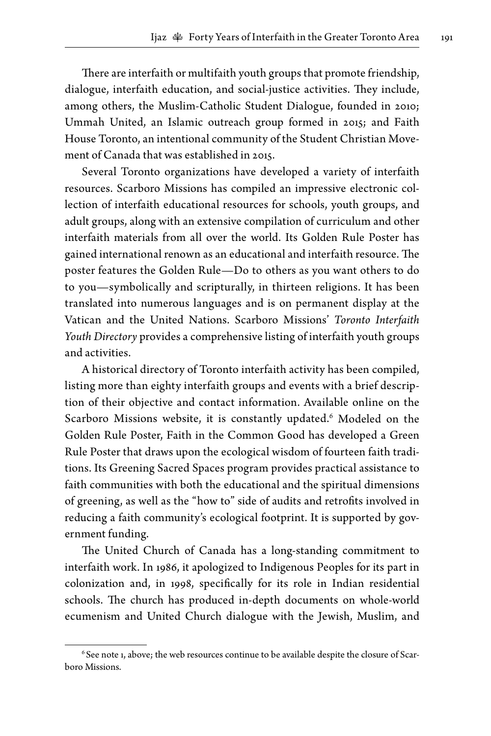There are interfaith or multifaith youth groups that promote friendship, dialogue, interfaith education, and social-justice activities. They include, among others, the Muslim-Catholic Student Dialogue, founded in 2010; Ummah United, an Islamic outreach group formed in 2015; and Faith House Toronto, an intentional community of the Student Christian Movement of Canada that was established in 2015.

Several Toronto organizations have developed a variety of interfaith resources. Scarboro Missions has compiled an impressive electronic collection of interfaith educational resources for schools, youth groups, and adult groups, along with an extensive compilation of curriculum and other interfaith materials from all over the world. Its Golden Rule Poster has gained international renown as an educational and interfaith resource. The poster features the Golden Rule—Do to others as you want others to do to you—symbolically and scripturally, in thirteen religions. It has been translated into numerous languages and is on permanent display at the Vatican and the United Nations. Scarboro Missions' *Toronto Interfaith Youth Directory* provides a comprehensive listing of interfaith youth groups and activities.

A historical directory of Toronto interfaith activity has been compiled, listing more than eighty interfaith groups and events with a brief description of their objective and contact information. Available online on the Scarboro Missions website, it is constantly updated.<sup>6</sup> Modeled on the Golden Rule Poster, Faith in the Common Good has developed a Green Rule Poster that draws upon the ecological wisdom of fourteen faith traditions. Its Greening Sacred Spaces program provides practical assistance to faith communities with both the educational and the spiritual dimensions of greening, as well as the "how to" side of audits and retrofits involved in reducing a faith community's ecological footprint. It is supported by government funding.

The United Church of Canada has a long-standing commitment to interfaith work. In 1986, it apologized to Indigenous Peoples for its part in colonization and, in 1998, specifically for its role in Indian residential schools. The church has produced in-depth documents on whole-world ecumenism and United Church dialogue with the Jewish, Muslim, and

<sup>&</sup>lt;sup>6</sup> See note 1, above; the web resources continue to be available despite the closure of Scarboro Missions.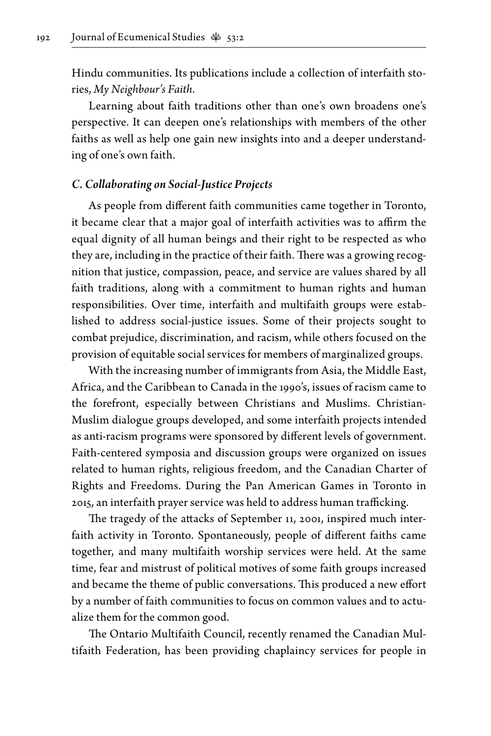Hindu communities. Its publications include a collection of interfaith stories, *My Neighbour's Faith*.

Learning about faith traditions other than one's own broadens one's perspective. It can deepen one's relationships with members of the other faiths as well as help one gain new insights into and a deeper understanding of one's own faith.

## *C. Collaborating on Social- Justice Projects*

As people from different faith communities came together in Toronto, it became clear that a major goal of interfaith activities was to affirm the equal dignity of all human beings and their right to be respected as who they are, including in the practice of their faith. There was a growing recognition that justice, compassion, peace, and service are values shared by all faith traditions, along with a commitment to human rights and human responsibilities. Over time, interfaith and multifaith groups were established to address social- justice issues. Some of their projects sought to combat prejudice, discrimination, and racism, while others focused on the provision of equitable social services for members of marginalized groups.

With the increasing number of immigrants from Asia, the Middle East, Africa, and the Caribbean to Canada in the 1990's, issues of racism came to the forefront, especially between Christians and Muslims. Christian-Muslim dialogue groups developed, and some interfaith projects intended as anti-racism programs were sponsored by different levels of government. Faith- centered symposia and discussion groups were organized on issues related to human rights, religious freedom, and the Canadian Charter of Rights and Freedoms. During the Pan American Games in Toronto in 2015, an interfaith prayer service was held to address human trafficking.

The tragedy of the attacks of September 11, 2001, inspired much interfaith activity in Toronto. Spontaneously, people of different faiths came together, and many multifaith worship services were held. At the same time, fear and mistrust of political motives of some faith groups increased and became the theme of public conversations. This produced a new effort by a number of faith communities to focus on common values and to actualize them for the common good.

The Ontario Multifaith Council, recently renamed the Canadian Multifaith Federation, has been providing chaplaincy services for people in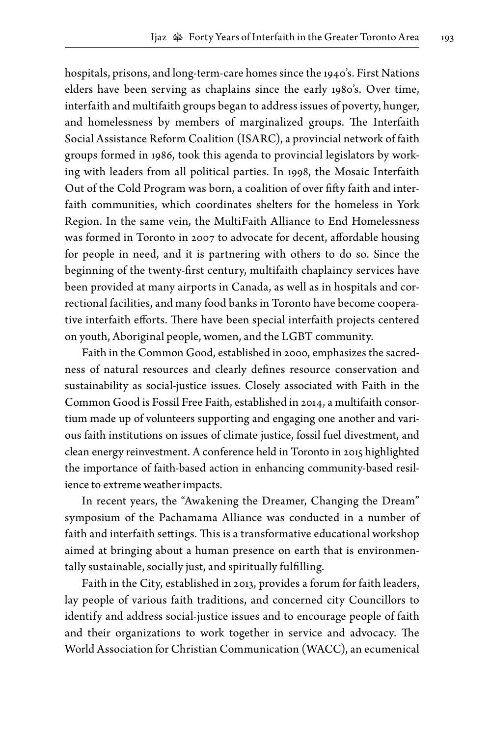hospitals, prisons, and long-term-care homes since the 1940's. First Nations elders have been serving as chaplains since the early 1980's. Over time, interfaith and multifaith groups began to address issues of poverty, hunger, and homelessness by members of marginalized groups. The Interfaith Social Assistance Reform Coalition (ISARC), a provincial network of faith groups formed in 1986, took this agenda to provincial legislators by working with leaders from all political parties. In 1998, the Mosaic Interfaith Out of the Cold Program was born, a coalition of over fifty faith and interfaith communities, which coordinates shelters for the homeless in York Region. In the same vein, the MultiFaith Alliance to End Homelessness was formed in Toronto in 2007 to advocate for decent, affordable housing for people in need, and it is partnering with others to do so. Since the beginning of the twenty-first century, multifaith chaplaincy services have been provided at many airports in Canada, as well as in hospitals and correctional facilities, and many food banks in Toronto have become cooperative interfaith efforts. There have been special interfaith projects centered on youth, Aboriginal people, women, and the LGBT community.

Faith in the Common Good, established in 2000, emphasizes the sacredness of natural resources and clearly defines resource conservation and sustainability as social-justice issues. Closely associated with Faith in the Common Good is Fossil Free Faith, established in 2014, a multifaith consortium made up of volunteers supporting and engaging one another and various faith institutions on issues of climate justice, fossil fuel divestment, and clean energy reinvestment. A conference held in Toronto in 2015 highlighted the importance of faith-based action in enhancing community-based resilience to extreme weather impacts.

In recent years, the "Awakening the Dreamer, Changing the Dream" symposium of the Pachamama Alliance was conducted in a number of faith and interfaith settings. This is a transformative educational workshop aimed at bringing about a human presence on earth that is environmentally sustainable, socially just, and spiritually fulfilling.

Faith in the City, established in 2013, provides a forum for faith leaders, lay people of various faith traditions, and concerned city Councillors to identify and address social-justice issues and to encourage people of faith and their organizations to work together in service and advocacy. The World Association for Christian Communication (WACC), an ecumenical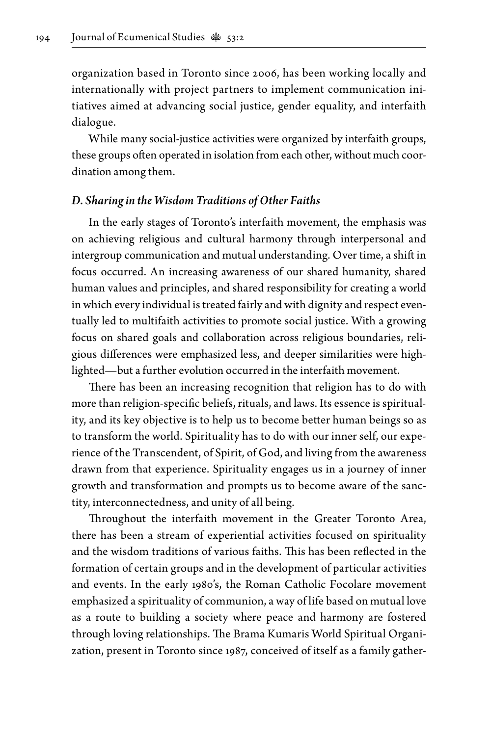organization based in Toronto since 2006, has been working locally and internationally with project partners to implement communication initiatives aimed at advancing social justice, gender equality, and interfaith dialogue.

While many social-justice activities were organized by interfaith groups, these groups often operated in isolation from each other, without much coordination among them.

#### *D. Sharing in the Wisdom Traditions of Other Faiths*

In the early stages of Toronto's interfaith movement, the emphasis was on achieving religious and cultural harmony through interpersonal and intergroup communication and mutual understanding. Over time, a shift in focus occurred. An increasing awareness of our shared humanity, shared human values and principles, and shared responsibility for creating a world in which every individual is treated fairly and with dignity and respect eventually led to multifaith activities to promote social justice. With a growing focus on shared goals and collaboration across religious boundaries, religious differences were emphasized less, and deeper similarities were highlighted—but a further evolution occurred in the interfaith movement.

There has been an increasing recognition that religion has to do with more than religion-specific beliefs, rituals, and laws. Its essence is spirituality, and its key objective is to help us to become better human beings so as to transform the world. Spirituality has to do with our inner self, our experience of the Transcendent, of Spirit, of God, and living from the awareness drawn from that experience. Spirituality engages us in a journey of inner growth and transformation and prompts us to become aware of the sanctity, interconnectedness, and unity of all being.

Throughout the interfaith movement in the Greater Toronto Area, there has been a stream of experiential activities focused on spirituality and the wisdom traditions of various faiths. This has been reflected in the formation of certain groups and in the development of particular activities and events. In the early 1980's, the Roman Catholic Focolare movement emphasized a spirituality of communion, a way of life based on mutual love as a route to building a society where peace and harmony are fostered through loving relationships. The Brama Kumaris World Spiritual Organization, present in Toronto since 1987, conceived of itself as a family gather-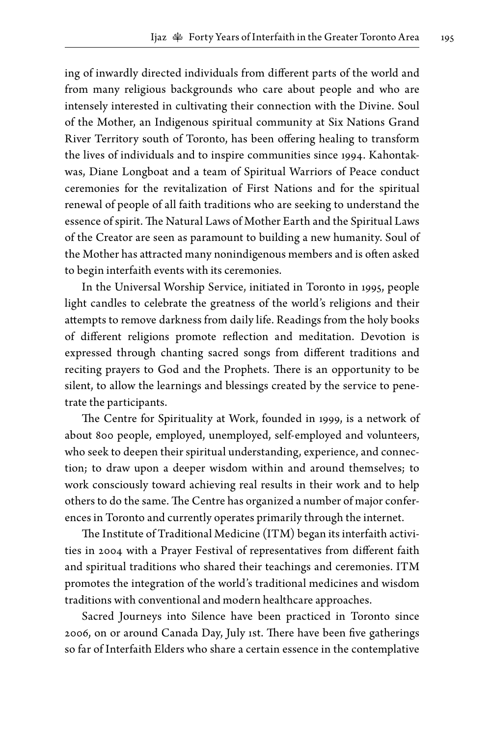ing of inwardly directed individuals from different parts of the world and from many religious backgrounds who care about people and who are intensely interested in cultivating their connection with the Divine. Soul of the Mother, an Indigenous spiritual community at Six Nations Grand River Territory south of Toronto, has been offering healing to transform the lives of individuals and to inspire communities since 1994. Kahontakwas, Diane Longboat and a team of Spiritual Warriors of Peace conduct ceremonies for the revitalization of First Nations and for the spiritual renewal of people of all faith traditions who are seeking to understand the essence of spirit. The Natural Laws of Mother Earth and the Spiritual Laws of the Creator are seen as paramount to building a new humanity. Soul of the Mother has attracted many nonindigenous members and is often asked to begin interfaith events with its ceremonies.

In the Universal Worship Service, initiated in Toronto in 1995, people light candles to celebrate the greatness of the world's religions and their attempts to remove darkness from daily life. Readings from the holy books of different religions promote reflection and meditation. Devotion is expressed through chanting sacred songs from different traditions and reciting prayers to God and the Prophets. There is an opportunity to be silent, to allow the learnings and blessings created by the service to penetrate the participants.

The Centre for Spirituality at Work, founded in 1999, is a network of about 800 people, employed, unemployed, self- employed and volunteers, who seek to deepen their spiritual understanding, experience, and connection; to draw upon a deeper wisdom within and around themselves; to work consciously toward achieving real results in their work and to help others to do the same. The Centre has organized a number of major conferences in Toronto and currently operates primarily through the internet.

The Institute of Traditional Medicine  $(ITM)$  began its interfaith activities in 2004 with a Prayer Festival of representatives from different faith and spiritual traditions who shared their teachings and ceremonies. ITM promotes the integration of the world's traditional medicines and wisdom traditions with conventional and modern healthcare approaches.

Sacred Journeys into Silence have been practiced in Toronto since 2006, on or around Canada Day, July 1st. There have been five gatherings so far of Interfaith Elders who share a certain essence in the contemplative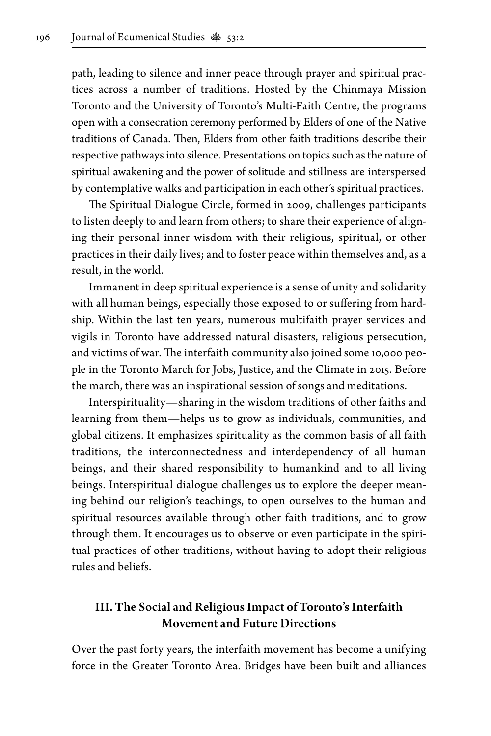path, leading to silence and inner peace through prayer and spiritual practices across a number of traditions. Hosted by the Chinmaya Mission Toronto and the University of Toronto's Multi- Faith Centre, the programs open with a consecration ceremony performed by Elders of one of the Native traditions of Canada. Then, Elders from other faith traditions describe their respective pathways into silence. Presentations on topics such as the nature of spiritual awakening and the power of solitude and stillness are interspersed by contemplative walks and participation in each other's spiritual practices.

The Spiritual Dialogue Circle, formed in 2009, challenges participants to listen deeply to and learn from others; to share their experience of aligning their personal inner wisdom with their religious, spiritual, or other practices in their daily lives; and to foster peace within themselves and, as a result, in the world.

Immanent in deep spiritual experience is a sense of unity and solidarity with all human beings, especially those exposed to or suffering from hardship. Within the last ten years, numerous multifaith prayer services and vigils in Toronto have addressed natural disasters, religious persecution, and victims of war. The interfaith community also joined some 10,000 people in the Toronto March for Jobs, Justice, and the Climate in 2015. Before the march, there was an inspirational session of songs and meditations.

Interspirituality—sharing in the wisdom traditions of other faiths and learning from them—helps us to grow as individuals, communities, and global citizens. It emphasizes spirituality as the common basis of all faith traditions, the interconnectedness and interdependency of all human beings, and their shared responsibility to humankind and to all living beings. Interspiritual dialogue challenges us to explore the deeper meaning behind our religion's teachings, to open ourselves to the human and spiritual resources available through other faith traditions, and to grow through them. It encourages us to observe or even participate in the spiritual practices of other traditions, without having to adopt their religious rules and beliefs.

# III. The Social and Religious Impact of Toronto's Interfaith Movement and Future Directions

Over the past forty years, the interfaith movement has become a unifying force in the Greater Toronto Area. Bridges have been built and alliances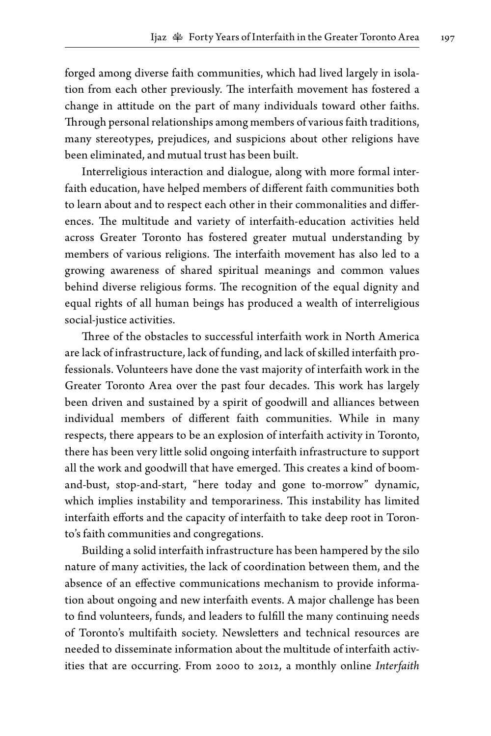forged among diverse faith communities, which had lived largely in isolation from each other previously. The interfaith movement has fostered a change in attitude on the part of many individuals toward other faiths. Through personal relationships among members of various faith traditions, many stereotypes, prejudices, and suspicions about other religions have been eliminated, and mutual trust has been built.

Interreligious interaction and dialogue, along with more formal interfaith education, have helped members of different faith communities both to learn about and to respect each other in their commonalities and differences. The multitude and variety of interfaith-education activities held across Greater Toronto has fostered greater mutual understanding by members of various religions. The interfaith movement has also led to a growing awareness of shared spiritual meanings and common values behind diverse religious forms. The recognition of the equal dignity and equal rights of all human beings has produced a wealth of interreligious social-justice activities.

Th ree of the obstacles to successful interfaith work in North America are lack of infrastructure, lack of funding, and lack of skilled interfaith professionals. Volunteers have done the vast majority of interfaith work in the Greater Toronto Area over the past four decades. This work has largely been driven and sustained by a spirit of goodwill and alliances between individual members of different faith communities. While in many respects, there appears to be an explosion of interfaith activity in Toronto, there has been very little solid ongoing interfaith infrastructure to support all the work and goodwill that have emerged. This creates a kind of boomand-bust, stop-and-start, "here today and gone to-morrow" dynamic, which implies instability and temporariness. This instability has limited interfaith efforts and the capacity of interfaith to take deep root in Toronto's faith communities and congregations.

Building a solid interfaith infrastructure has been hampered by the silo nature of many activities, the lack of coordination between them, and the absence of an effective communications mechanism to provide information about ongoing and new interfaith events. A major challenge has been to find volunteers, funds, and leaders to fulfill the many continuing needs of Toronto's multifaith society. Newsletters and technical resources are needed to disseminate information about the multitude of interfaith activities that are occurring. From 2000 to 2012, a monthly online *Interfaith*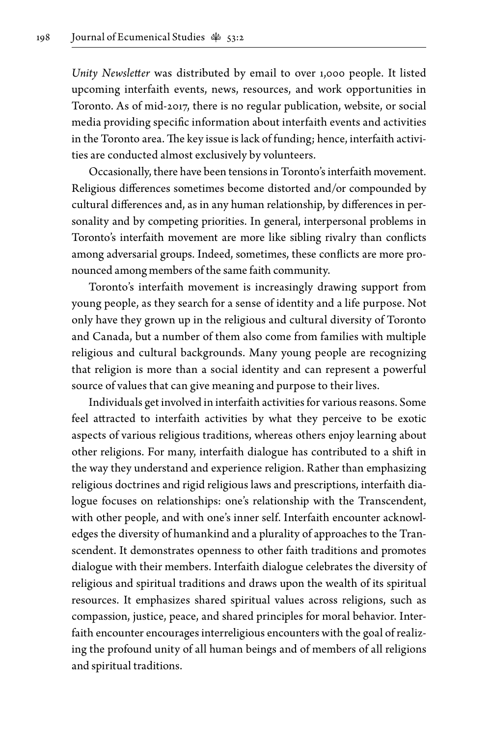*Unity Newsletter was distributed by email to over 1,000 people. It listed* upcoming interfaith events, news, resources, and work opportunities in Toronto. As of mid-2017, there is no regular publication, website, or social media providing specific information about interfaith events and activities in the Toronto area. The key issue is lack of funding; hence, interfaith activities are conducted almost exclusively by volunteers.

Occasionally, there have been tensions in Toronto's interfaith movement. Religious differences sometimes become distorted and/or compounded by cultural differences and, as in any human relationship, by differences in personality and by competing priorities. In general, interpersonal problems in Toronto's interfaith movement are more like sibling rivalry than conflicts among adversarial groups. Indeed, sometimes, these conflicts are more pronounced among members of the same faith community.

Toronto's interfaith movement is increasingly drawing support from young people, as they search for a sense of identity and a life purpose. Not only have they grown up in the religious and cultural diversity of Toronto and Canada, but a number of them also come from families with multiple religious and cultural backgrounds. Many young people are recognizing that religion is more than a social identity and can represent a powerful source of values that can give meaning and purpose to their lives.

Individuals get involved in interfaith activities for various reasons. Some feel attracted to interfaith activities by what they perceive to be exotic aspects of various religious traditions, whereas others enjoy learning about other religions. For many, interfaith dialogue has contributed to a shift in the way they understand and experience religion. Rather than emphasizing religious doctrines and rigid religious laws and prescriptions, interfaith dialogue focuses on relationships: one's relationship with the Transcendent, with other people, and with one's inner self. Interfaith encounter acknowledges the diversity of humankind and a plurality of approaches to the Transcendent. It demonstrates openness to other faith traditions and promotes dialogue with their members. Interfaith dialogue celebrates the diversity of religious and spiritual traditions and draws upon the wealth of its spiritual resources. It emphasizes shared spiritual values across religions, such as compassion, justice, peace, and shared principles for moral behavior. Interfaith encounter encourages interreligious encounters with the goal of realizing the profound unity of all human beings and of members of all religions and spiritual traditions.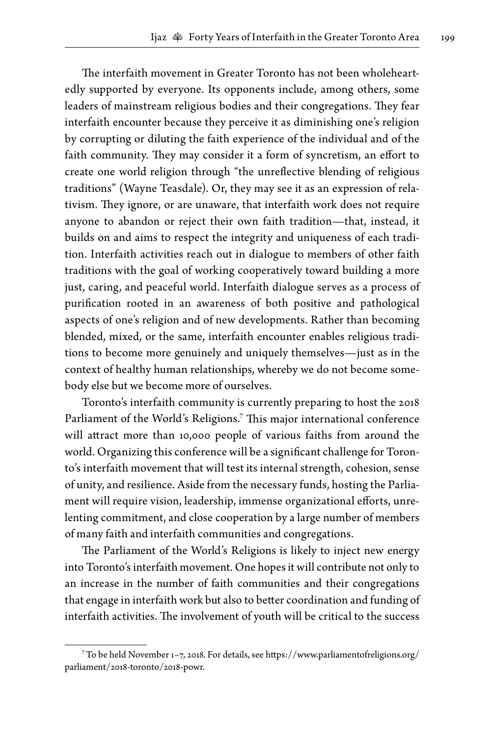The interfaith movement in Greater Toronto has not been wholeheartedly supported by everyone. Its opponents include, among others, some leaders of mainstream religious bodies and their congregations. They fear interfaith encounter because they perceive it as diminishing one's religion by corrupting or diluting the faith experience of the individual and of the faith community. They may consider it a form of syncretism, an effort to create one world religion through "the unreflective blending of religious traditions" (Wayne Teasdale). Or, they may see it as an expression of relativism. They ignore, or are unaware, that interfaith work does not require anyone to abandon or reject their own faith tradition—that, instead, it builds on and aims to respect the integrity and uniqueness of each tradition. Interfaith activities reach out in dialogue to members of other faith traditions with the goal of working cooperatively toward building a more just, caring, and peaceful world. Interfaith dialogue serves as a process of purification rooted in an awareness of both positive and pathological aspects of one's religion and of new developments. Rather than becoming blended, mixed, or the same, interfaith encounter enables religious traditions to become more genuinely and uniquely themselves—just as in the context of healthy human relationships, whereby we do not become somebody else but we become more of ourselves.

Toronto's interfaith community is currently preparing to host the 2018 Parliament of the World's Religions.<sup>7</sup> This major international conference will attract more than 10,000 people of various faiths from around the world. Organizing this conference will be a significant challenge for Toronto's interfaith movement that will test its internal strength, cohesion, sense of unity, and resilience. Aside from the necessary funds, hosting the Parliament will require vision, leadership, immense organizational efforts, unrelenting commitment, and close cooperation by a large number of members of many faith and interfaith communities and congregations.

The Parliament of the World's Religions is likely to inject new energy into Toronto's interfaith movement. One hopes it will contribute not only to an increase in the number of faith communities and their congregations that engage in interfaith work but also to better coordination and funding of interfaith activities. The involvement of youth will be critical to the success

 $^{7}$ To be held November 1–7, 2018. For details, see https://www.parliamentofreligions.org/ parliament/2018- toronto/2018- powr.